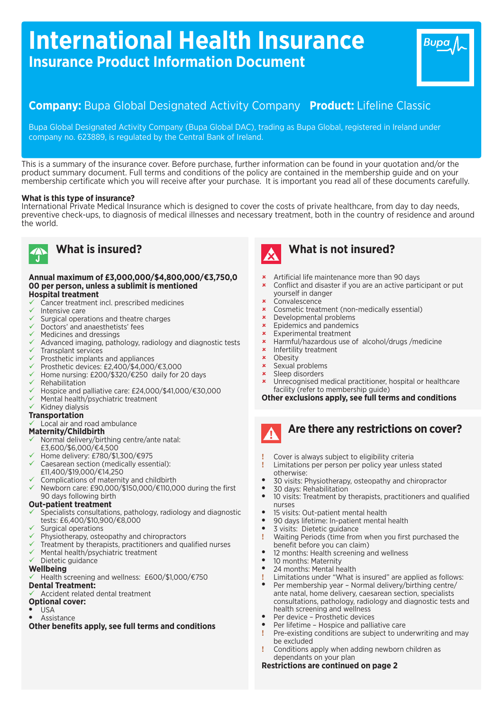# **International Health Insurance Insurance Product Information Document**

## **Company:** Bupa Global Designated Activity Company **Product:** Lifeline Classic

Bupa Global Designated Activity Company (Bupa Global DAC), trading as Bupa Global, registered in Ireland under company no. 623889, is regulated by the Central Bank of Ireland.

This is a summary of the insurance cover. Before purchase, further information can be found in your quotation and/or the product summary document. Full terms and conditions of the policy are contained in the membership guide and on your membership certificate which you will receive after your purchase. It is important you read all of these documents carefully.

### **What is this type of insurance?**

International Private Medical Insurance which is designed to cover the costs of private healthcare, from day to day needs, preventive check-ups, to diagnosis of medical illnesses and necessary treatment, both in the country of residence and around the world.



## **What is insured?**

### **Annual maximum of £3,000,000/\$4,800,000/€3,750,0 00 per person, unless a sublimit is mentioned Hospital treatment**

- ü Cancer treatment incl. prescribed medicines
- Intensive care
- Surgical operations and theatre charges
- Doctors' and anaesthetists' fees
- Medicines and dressings
- Advanced imaging, pathology, radiology and diagnostic tests ü Transplant services
- $\checkmark$  Prosthetic implants and appliances
- ü Prosthetic devices: £2,400/\$4,000/€3,000
- Home nursing: £200/\$320/€250 daily for 20 days
- Rehabilitation
- Hospice and palliative care: £24,000/\$41,000/€30,000
- Mental health/psychiatric treatment
- Kidney dialysis

### **Transportation**

Local air and road ambulance

### **Maternity/Childbirth**

- ü Normal delivery/birthing centre/ante natal: £3,600/\$6,000/€4,500
- ü Home delivery: £780/\$1,300/€975
- Caesarean section (medically essential): £11,400/\$19,000/€14,250
- Complications of maternity and childbirth
- ü Newborn care: £90,000/\$150,000/€110,000 during the first 90 days following birth

### **Out-patient treatment**

- Specialists consultations, pathology, radiology and diagnostic tests: £6,400/\$10,900/€8,000
- Surgical operations
- Physiotherapy, osteopathy and chiropractors
- Treatment by therapists, practitioners and qualified nurses
- Mental health/psychiatric treatment
- Dietetic guidance

### **Wellbeing**

- Health screening and wellness: £600/\$1,000/€750 **Dental Treatment:**
- Accident related dental treatment

## **Optional cover:**

- **USA**
- Assistance

**Other benefits apply, see full terms and conditions**



## **What is not insured?**

- **\*** Artificial life maintenance more than 90 days
- **\*** Conflict and disaster if you are an active participant or put yourself in danger

Bupa

- **Convalescence**
- û Cosmetic treatment (non-medically essential)
- Developmental problems
- Epidemics and pandemics
- $\times$  Experimental treatment
- û Harmful/hazardous use of alcohol/drugs /medicine
- **\*** Infertility treatment
- $x$  Obesity<br> $x$  Sexual r
- **x** Sexual problems
- Sleep disorders
- Unrecognised medical practitioner, hospital or healthcare facility (refer to membership guide)

### **Other exclusions apply, see full terms and conditions**

# **Are there any restrictions on cover?**

- **!** Cover is always subject to eligibility criteria
- **!** Limitations per person per policy year unless stated otherwise:
- 30 visits: Physiotherapy, osteopathy and chiropractor
- 30 days: Rehabilitation
- 10 visits: Treatment by therapists, practitioners and qualified nurses
- 15 visits: Out-patient mental health
- 90 days lifetime: In-patient mental health
- 3 visits: Dietetic guidance
- **!** Waiting Periods (time from when you first purchased the benefit before you can claim)
- 12 months: Health screening and wellness
- 10 months: Maternity
- 24 months: Mental health
- **!** Limitations under "What is insured" are applied as follows:
- Per membership year Normal delivery/birthing centre/ ante natal, home delivery, caesarean section, specialists consultations, pathology, radiology and diagnostic tests and health screening and wellness
- Per device Prosthetic devices
- Per lifetime Hospice and palliative care
- **!** Pre-existing conditions are subject to underwriting and may be excluded
- **!** Conditions apply when adding newborn children as dependants on your plan

### **Restrictions are continued on page 2**